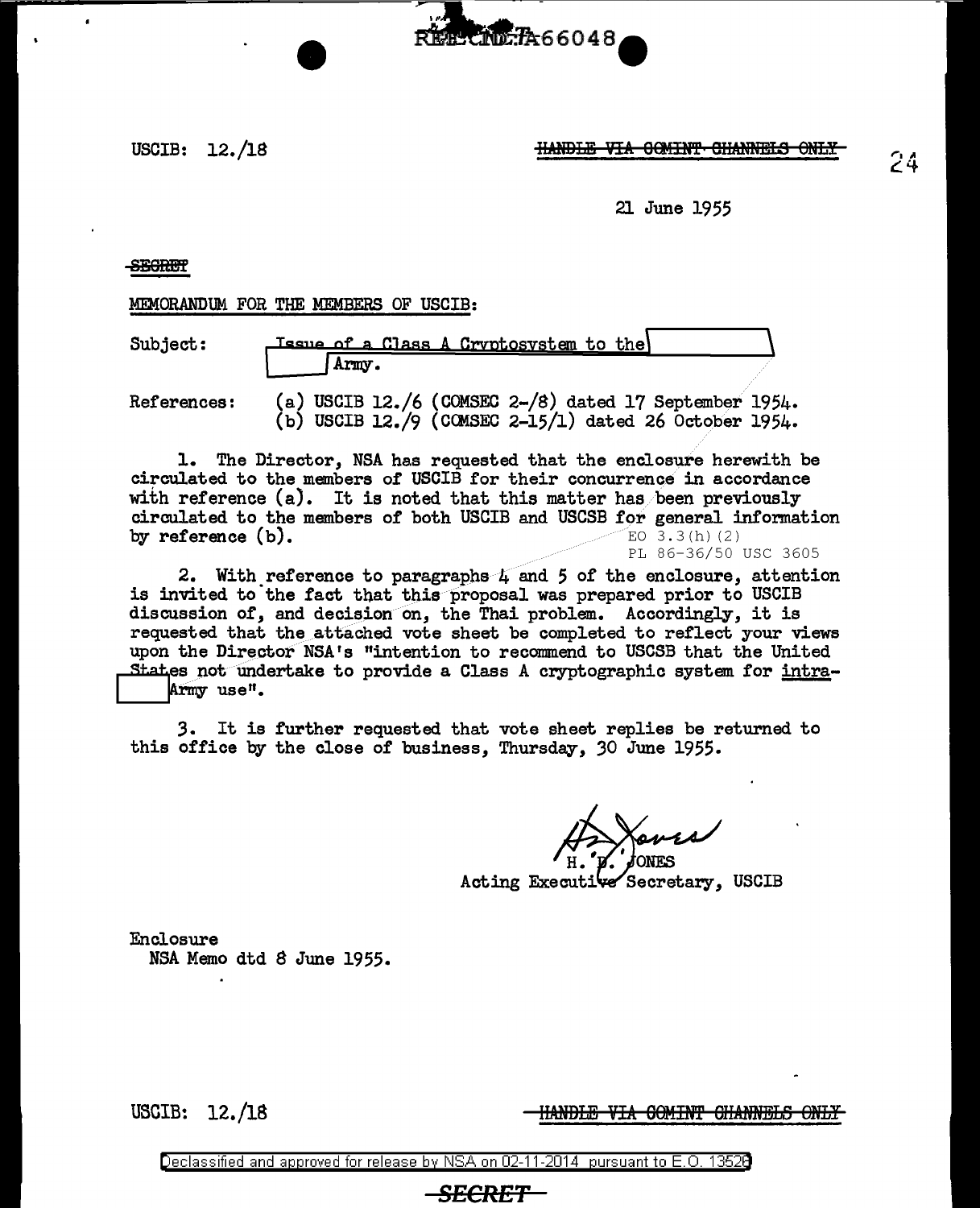USCIB: 12./18 **HANDHS VIA 0CMINT CHANNELS ONLY** 

21 June 1955

**SEGRET** 

MEMORANDUM FOR THE MEMBERS OF USCIB:

| Subject: | Issue of a Class A Cryptosystem to the |  |
|----------|----------------------------------------|--|
|          | Army.                                  |  |

References: (a) USCIB 12./6 (COMSEC 2-/S) dated 17 September 1954. (b) USCIB 12./9 (CCMSEC 2-15/1) dated 26 October 1954.

**CND-7266048** 

1. The Director, NSA has requested that the enclosure herewith be circulated to the members of USCIB for their concurrence in accordance with reference (a). It is noted that this matter has been previously circulated to the members of both USCIB and USCSB for general infonnation by reference  $(b)$ . EQ 3.3(h)(2) PL 86-36/50 USC 3605

2. With reference to paragraphs  $4$  and 5 of the enclosure, attention is invited to the fact that this proposal was prepared prior to USCIB discussion of, and decision on, the Thai problem. Accordingly, it is requested that the attached vote sheet be completed to reflect your views upon the Director NSA's "intention to recommend to USCSB that the United ~estates not undertake to provide a Class A cryptographic system for intra-Army use".

*3.* It is further requested that vote sheet replies be returned to this office by the close of business, Thursday, *30* June 1955.

Acting Executive Secretary, USCIB

Enclosure NSA Memo dtd S June 1955.

USCIB: 12./18 **III-A:** THE TEAN ON THE GENERAL ONLY

Declassified and approved for release by NSA on 02-11-2014 pursuant to E. 0. 1352B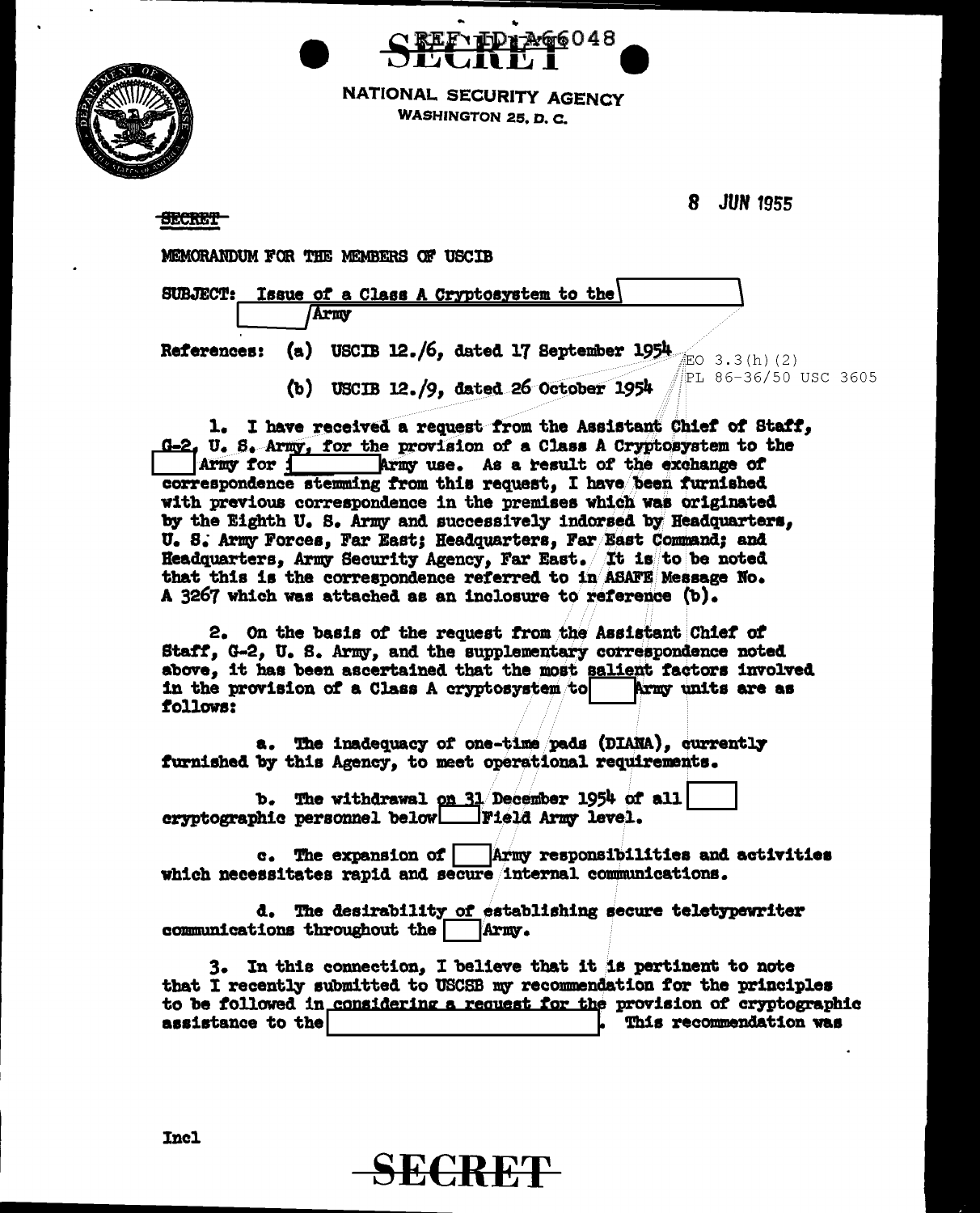



NATIONAL SECURITY AGENCY **WASHINGTON 25, D. C.** 

**SECRET** 

8 JUN 1955

汇O 3.3(h)(2)

PL 86-36/50 USC 3605

MEMORANDUM FOR THE MEMBERS OF USCIB

**SUBJECT:** Issue of a Class A Cryptosystem to the **Army** 

(a) USCIB  $12./6$ , dated 17 September 1954 **References:** 

(b) USCIB 12./9. dated 26 October 1954

1. I have received a request from the Assistant Chief of Staff, G-2, U. S. Army, for the provision of a Class A Cryptosystem to the Army for 1 Army use. As a result of the exchange of correspondence stemming from this request, I have been furnished with previous correspondence in the premises which was originated by the Eighth U. S. Army and successively indorsed by Headquarters, U. S. Army Forces, Far East; Headquarters, Far East Command; and Headquarters, Army Security Agency, Far East. / It is to be noted that this is the correspondence referred to in ASAFE Message No. A 3267 which was attached as an inclosure to reference (b).

2. On the basis of the request from the Assistant Chief of Staff, G-2, U. S. Army, and the supplementary correspondence noted above, it has been ascertained that the most salient factors involved in the provision of a Class A cryptosystem to **Army units are as** follows:

a. The inadequacy of one-time pads (DIANA), currently furnished by this Agency, to meet operational requirements.

b. The withdrawal on  $31$  December 1954 of all cryptographic personnel below Field Army level.

c. The expansion of | Army responsibilities and activities which necessitates rapid and secure internal communications.

d. The desirability of establishing secure teletypewriter communications throughout the | Army.

3. In this connection, I believe that it is pertinent to note that I recently submitted to USCSB my recommendation for the principles to be followed in considering a request for the provision of cryptographic assistance to the This recommendation was